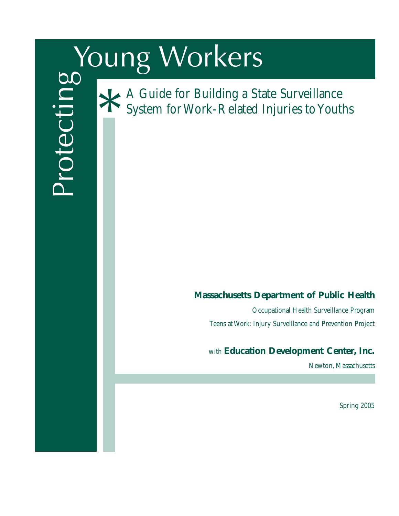# Young Workers



A Guide for Building a State Surveillance System for Work-Related Injuries to Youths \*

# **Massachusetts Department of Public Health**

Occupational Health Surveillance Program Teens at Work: Injury Surveillance and Prevention Project

# with **Education Development Center, Inc.**

Newton, Massachusetts

Spring 2005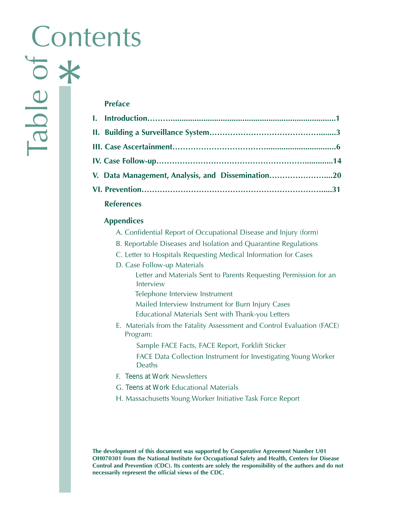# **Contents**

## **Preface**

| V. Data Management, Analysis, and Dissemination20 |  |
|---------------------------------------------------|--|
|                                                   |  |
| <b>References</b>                                 |  |

# **Appendices**

- A. Confidential Report of Occupational Disease and Injury (form)
- B. Reportable Diseases and Isolation and Quarantine Regulations
- C. Letter to Hospitals Requesting Medical Information for Cases
- D. Case Follow-up Materials
	- Letter and Materials Sent to Parents Requesting Permission for an Interview
	- Telephone Interview Instrument
	- Mailed Interview Instrument for Burn Injury Cases
	- Educational Materials Sent with Thank-you Letters
- E. Materials from the Fatality Assessment and Control Evaluation (FACE) Program:

Sample FACE Facts, FACE Report, Forklift Sticker

FACE Data Collection Instrument for Investigating Young Worker Deaths

- F. *Teens at Work* Newsletters
- G. *Teens at Work* Educational Materials
- H. Massachusetts Young Worker Initiative Task Force Report

**The development of this document was supported by Cooperative Agreement Number U01 OH070301 from the National Institute for Occupational Safety and Health, Centers for Disease Control and Prevention (CDC). Its contents are solely the responsibility of the authors and do not necessarily represent the official views of the CDC.**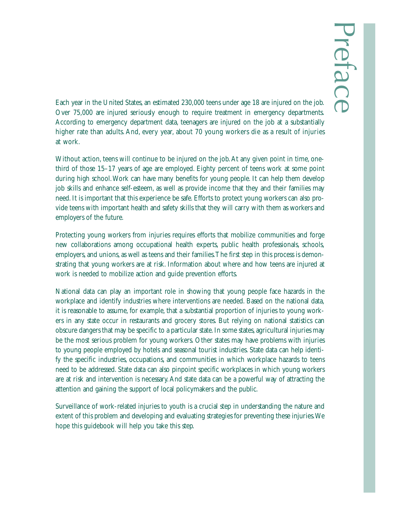Each year in the United States, an estimated 230,000 teens under age 18 are injured on the job. Over 75,000 are injured seriously enough to require treatment in emergency departments. According to emergency department data, teenagers are injured on the job at a substantially higher rate than adults. And, every year, about 70 young workers die as a result of injuries at work.

Without action, teens will continue to be injured on the job.At any given point in time, onethird of those 15–17 years of age are employed. Eighty percent of teens work at some point during high school.Work can have many benefits for young people. It can help them develop job skills and enhance self-esteem, as well as provide income that they and their families may need. It is important that this experience be safe. Efforts to protect young workers can also provide teens with important health and safety skills that they will carry with them as workers and employers of the future.

Protecting young workers from injuries requires efforts that mobilize communities and forge new collaborations among occupational health experts, public health professionals, schools, employers, and unions, as well as teens and their families.The first step in this process is demonstrating that young workers are at risk. Information about where and how teens are injured at work is needed to mobilize action and guide prevention efforts.

National data can play an important role in showing that young people face hazards in the workplace and identify industries where interventions are needed. Based on the national data, it is reasonable to assume, for example, that a substantial proportion of injuries to young workers in any state occur in restaurants and grocery stores. But relying on national statistics can obscure dangers that may be specific to a particular state. In some states, agricultural injuries may be the most serious problem for young workers. Other states may have problems with injuries to young people employed by hotels and seasonal tourist industries. State data can help identify the specific industries, occupations, and communities in which workplace hazards to teens need to be addressed. State data can also pinpoint specific workplaces in which young workers are at risk and intervention is necessary.And state data can be a powerful way of attracting the attention and gaining the support of local policymakers and the public.

Surveillance of work-related injuries to youth is a crucial step in understanding the nature and extent of this problem and developing and evaluating strategies for preventing these injuries.We hope this guidebook will help you take this step.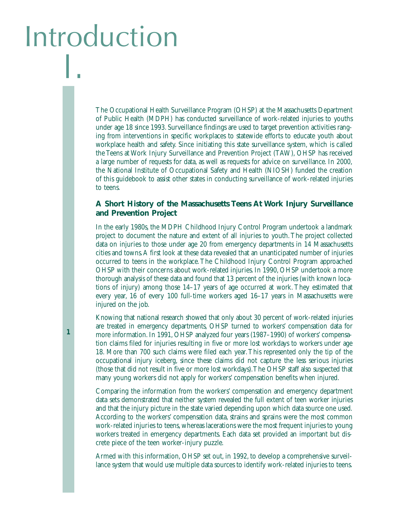# Introduction I.

**1**

The Occupational Health Surveillance Program (OHSP) at the Massachusetts Department of Public Health (MDPH) has conducted surveillance of work-related injuries to youths under age 18 since 1993. Surveillance findings are used to target prevention activities ranging from interventions in specific workplaces to statewide efforts to educate youth about workplace health and safety. Since initiating this state surveillance system, which is called the Teens at Work Injury Surveillance and Prevention Project (TAW), OHSP has received a large number of requests for data, as well as requests for advice on surveillance. In 2000, the National Institute of Occupational Safety and Health (NIOSH) funded the creation of this guidebook to assist other states in conducting surveillance of work-related injuries to teens.

#### **A Short History of the Massachusetts Teens At Work Injury Surveillance and Prevention Project**

In the early 1980s, the MDPH Childhood Injury Control Program undertook a landmark project to document the nature and extent of all injuries to youth.The project collected data on injuries to those under age 20 from emergency departments in 14 Massachusetts cities and towns.A first look at these data revealed that an unanticipated number of injuries occurred to teens in the workplace.The Childhood Injury Control Program approached OHSP with their concerns about work-related injuries. In 1990, OHSP undertook a more thorough analysis of these data and found that 13 percent of the injuries (with known locations of injury) among those 14–17 years of age occurred at work. They estimated that every year, 16 of every 100 full-time workers aged 16–17 years in Massachusetts were injured on the job.

Knowing that national research showed that only about 30 percent of work-related injuries are treated in emergency departments, OHSP turned to workers' compensation data for more information. In 1991, OHSP analyzed four years (1987–1990) of workers' compensation claims filed for injuries resulting in five or more lost workdays to workers under age 18. More than 700 such claims were filed each year.This represented only the tip of the occupational injury iceberg, since these claims did not capture the less serious injuries (those that did not result in five or more lost workdays).The OHSP staff also suspected that many young workers did not apply for workers' compensation benefits when injured.

Comparing the information from the workers' compensation and emergency department data sets demonstrated that neither system revealed the full extent of teen worker injuries and that the injury picture in the state varied depending upon which data source one used. According to the workers' compensation data, strains and sprains were the most common work-related injuries to teens, whereas lacerations were the most frequent injuries to young workers treated in emergency departments. Each data set provided an important but discrete piece of the teen worker-injury puzzle.

Armed with this information, OHSP set out, in 1992, to develop a comprehensive surveillance system that would use multiple data sources to identify work-related injuries to teens.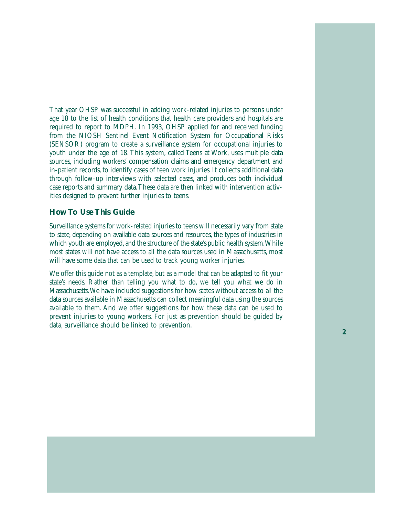That year OHSP was successful in adding work-related injuries to persons under age 18 to the list of health conditions that health care providers and hospitals are required to report to MDPH. In 1993, OHSP applied for and received funding from the NIOSH Sentinel Event Notification System for Occupational Risks (SENSOR) program to create a surveillance system for occupational injuries to youth under the age of 18. This system, called Teens at Work, uses multiple data sources, including workers' compensation claims and emergency department and in-patient records, to identify cases of teen work injuries. It collects additional data through follow-up interviews with selected cases, and produces both individual case reports and summary data.These data are then linked with intervention activities designed to prevent further injuries to teens.

#### **How To Use This Guide**

Surveillance systems for work-related injuries to teens will necessarily vary from state to state, depending on available data sources and resources, the types of industries in which youth are employed, and the structure of the state's public health system. While most states will not have access to all the data sources used in Massachusetts, most will have some data that can be used to track young worker injuries.

We offer this guide not as a template, but as a model that can be adapted to fit your state's needs. Rather than telling you what to do, we tell you what we do in Massachusetts.We have included suggestions for how states without access to all the data sources available in Massachusetts can collect meaningful data using the sources available to them. And we offer suggestions for how these data can be used to prevent injuries to young workers. For just as prevention should be guided by data, surveillance should be linked to prevention. **2**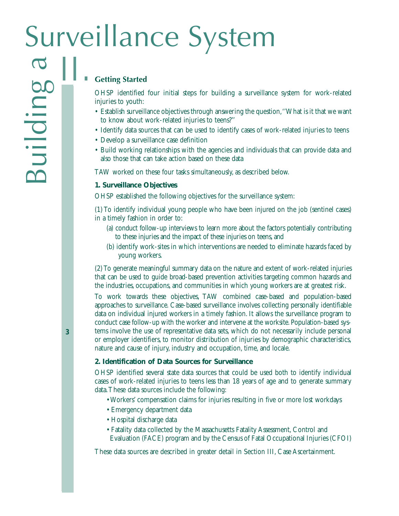# Surveillance System<br>
Surveillance System Building a surveillance<br>
Surveillance of the starting started<br>
The starting started<br>
OHSP identified four initial steps for building a surveillance<br>
injuries to youth:<br>
Fatablish su

#### **Getting Started**

OHSP identified four initial steps for building a surveillance system for work-related injuries to youth:

- Establish surveillance objectives through answering the question,''What is it that we want to know about work-related injuries to teens?''
- Identify data sources that can be used to identify cases of work-related injuries to teens
- Develop a surveillance case definition
- Build working relationships with the agencies and individuals that can provide data and also those that can take action based on these data

TAW worked on these four tasks simultaneously, as described below.

#### **1. Surveillance Objectives**

OHSP established the following objectives for the surveillance system:

(1) To identify individual young people who have been injured on the job (sentinel cases) in a timely fashion in order to:

- (a) conduct follow-up interviews to learn more about the factors potentially contributing to these injuries and the impact of these injuries on teens, and
- (b) identify work-sites in which interventions are needed to eliminate hazards faced by young workers.

(2) To generate meaningful summary data on the nature and extent of work-related injuries that can be used to guide broad-based prevention activities targeting common hazards and the industries, occupations, and communities in which young workers are at greatest risk.

To work towards these objectives, TAW combined case-based and population-based approaches to surveillance. Case-based surveillance involves collecting personally identifiable data on individual injured workers in a timely fashion. It allows the surveillance program to conduct case follow-up with the worker and intervene at the worksite. Population-based systems involve the use of representative data sets, which do not necessarily include personal or employer identifiers, to monitor distribution of injuries by demographic characteristics, nature and cause of injury, industry and occupation, time, and locale.

#### **2. Identification of Data Sources for Surveillance**

OHSP identified several state data sources that could be used both to identify individual cases of work-related injuries to teens less than 18 years of age and to generate summary data.These data sources include the following:

- Workers' compensation claims for injuries resulting in five or more lost workdays
- Emergency department data
- Hospital discharge data
- Fatality data collected by the Massachusetts Fatality Assessment, Control and Evaluation (FACE) program and by the Census of Fatal Occupational Injuries (CFOI)

These data sources are described in greater detail in Section III, Case Ascertainment.

**12 3**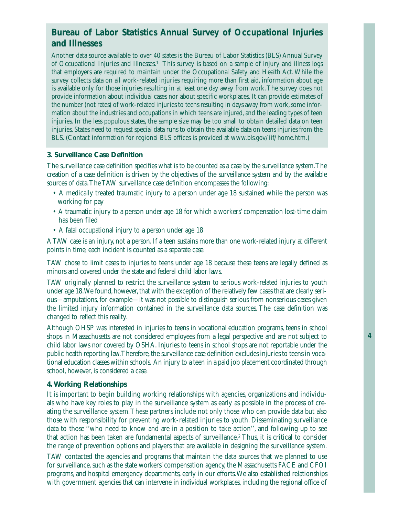# *Bureau of Labor Statistics Annual Survey of Occupational Injuries and Illnesses*

Another data source available to over 40 states is the Bureau of Labor Statistics (BLS) Annual Survey of Occupational Injuries and Illnesses.1 This survey is based on a sample of injury and illness logs that employers are required to maintain under the Occupational Safety and Health Act.While the survey collects data on all work-related injuries requiring more than first aid, information about age is available only for those injuries resulting in at least one day away from work.The survey does not provide information about individual cases nor about specific workplaces. It can provide estimates of the number (not rates) of work-related injuries to teens resulting in days away from work, some information about the industries and occupations in which teens are injured, and the leading types of teen injuries. In the less populous states, the sample size may be too small to obtain detailed data on teen injuries. States need to request special data runs to obtain the available data on teens injuries from the BLS. (Contact information for regional BLS offices is provided at www.bls.gov/iif/home.htm.)

#### **3. Surveillance Case Definition**

The surveillance case definition specifies what is to be counted as a case by the surveillance system.The creation of a case definition is driven by the objectives of the surveillance system and by the available sources of data.The TAW surveillance case definition encompasses the following:

- A medically treated traumatic injury to a person under age 18 sustained while the person was working for pay
- A traumatic injury to a person under age 18 for which a workers' compensation lost-time claim has been filed
- A fatal occupational injury to a person under age 18

A TAW case is an injury, not a person. If a teen sustains more than one work-related injury at different points in time, each incident is counted as a separate case.

TAW chose to limit cases to injuries to teens under age 18 because these teens are legally defined as minors and covered under the state and federal child labor laws.

TAW originally planned to restrict the surveillance system to serious work-related injuries to youth under age 18. We found, however, that with the exception of the relatively few cases that are clearly serious—amputations, for example—it was not possible to distinguish serious from nonserious cases given the limited injury information contained in the surveillance data sources. The case definition was changed to reflect this reality.

Although OHSP was interested in injuries to teens in vocational education programs, teens in school shops in Massachusetts are not considered employees from a legal perspective and are not subject to child labor laws nor covered by OSHA. Injuries to teens in school shops are not reportable under the public health reporting law. Therefore, the surveillance case definition excludes injuries to teens in vocational education classes within schools. An injury to a teen in a paid job placement coordinated through school, however, is considered a case.

#### **4.Working Relationships**

It is important to begin building working relationships with agencies, organizations and individuals who have key roles to play in the surveillance system as early as possible in the process of creating the surveillance system.These partners include not only those who can provide data but also those with responsibility for preventing work-related injuries to youth. Disseminating surveillance data to those ''who need to know and are in a position to take action'', and following up to see that action has been taken are fundamental aspects of surveillance.2 Thus, it is critical to consider the range of prevention options and players that are available in designing the surveillance system.

TAW contacted the agencies and programs that maintain the data sources that we planned to use for surveillance, such as the state workers' compensation agency, the Massachusetts FACE and CFOI programs, and hospital emergency departments, early in our efforts.We also established relationships with government agencies that can intervene in individual workplaces, including the regional office of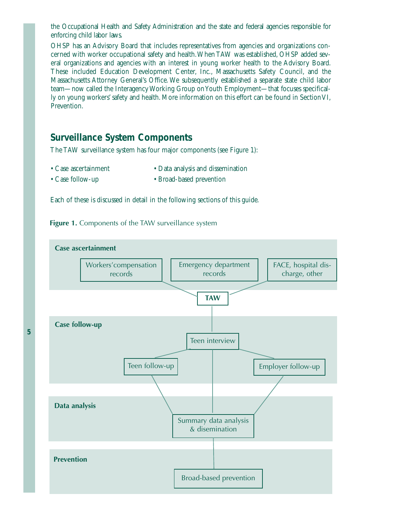the Occupational Health and Safety Administration and the state and federal agencies responsible for enforcing child labor laws.

OHSP has an Advisory Board that includes representatives from agencies and organizations concerned with worker occupational safety and health.When TAW was established, OHSP added several organizations and agencies with an interest in young worker health to the Advisory Board. These included Education Development Center, Inc., Massachusetts Safety Council, and the Massachusetts Attorney General's Office. We subsequently established a separate state child labor team—now called the Interagency Working Group on Youth Employment—that focuses specifically on young workers' safety and health. More information on this effort can be found in Section VI, Prevention.

# *Surveillance System Components*

The TAW surveillance system has four major components (see Figure 1):

- Case ascertainment
- Data analysis and dissemination
- Case follow-up
- Broad-based prevention

Each of these is discussed in detail in the following sections of this guide.

**Figure 1.** Components of the TAW surveillance system

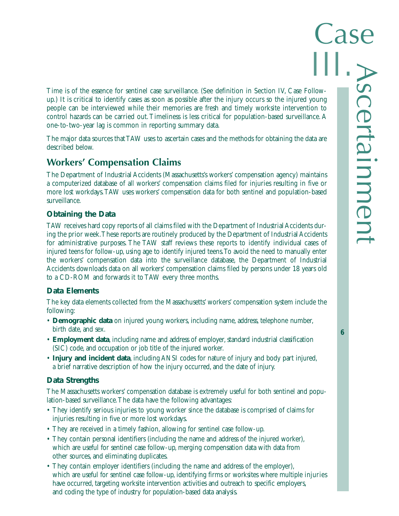Time is of the essence for sentinel case surveillance. (See definition in Section IV, Case Followup.) It is critical to identify cases as soon as possible after the injury occurs so the injured young people can be interviewed while their memories are fresh and timely worksite intervention to control hazards can be carried out.Timeliness is less critical for population-based surveillance. A one-to-two-year lag is common in reporting summary data.

The major data sources that TAW uses to ascertain cases and the methods for obtaining the data are described below.

# **Workers' Compensation Claims**

The Department of Industrial Accidents (Massachusetts's workers' compensation agency) maintains a computerized database of all workers' compensation claims filed for injuries resulting in five or more lost workdays.TAW uses workers' compensation data for both sentinel and population-based surveillance.

#### **Obtaining the Data**

TAW receives hard copy reports of all claims filed with the Department of Industrial Accidents during the prior week.These reports are routinely produced by the Department of Industrial Accidents for administrative purposes. The TAW staff reviews these reports to identify individual cases of injured teens for follow-up, using age to identify injured teens.To avoid the need to manually enter the workers' compensation data into the surveillance database, the Department of Industrial Accidents downloads data on all workers' compensation claims filed by persons under 18 years old to a CD-ROM and forwards it to TAW every three months.

#### **Data Elements**

The key data elements collected from the Massachusetts' workers' compensation system include the following:

- **Demographic data** on injured young workers, including name, address, telephone number, birth date, and sex.
- **Employment data**, including name and address of employer, standard industrial classification (SIC) code, and occupation or job title of the injured worker.
- **Injury and incident data**, including ANSI codes for nature of injury and body part injured, a brief narrative description of how the injury occurred, and the date of injury.

#### **Data Strengths**

The Massachusetts workers' compensation database is extremely useful for both sentinel and population-based surveillance.The data have the following advantages:

- They identify serious injuries to young worker since the database is comprised of claims for injuries resulting in five or more lost workdays.
- They are received in a timely fashion, allowing for sentinel case follow-up.
- They contain personal identifiers (including the name and address of the injured worker), which are useful for sentinel case follow-up, merging compensation data with data from other sources, and eliminating duplicates.
- They contain employer identifiers (including the name and address of the employer), which are useful for sentinel case follow-up, identifying firms or worksites where multiple injuries have occurred, targeting worksite intervention activities and outreach to specific employers, and coding the type of industry for population-based data analysis.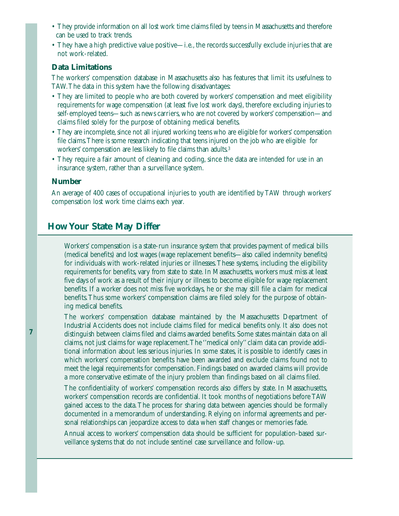- They provide information on all lost work time claims filed by teens in Massachusetts and therefore can be used to track trends.
- They have a high predictive value positive—i.e., the records successfully exclude injuries that are not work-related.

#### **Data Limitations**

The workers' compensation database in Massachusetts also has features that limit its usefulness to TAW.The data in this system have the following disadvantages:

- They are limited to people who are both covered by workers' compensation and meet eligibility requirements for wage compensation (at least five lost work days), therefore excluding injuries to self-employed teens—such as news carriers, who are not covered by workers' compensation—and claims filed solely for the purpose of obtaining medical benefits.
- They are incomplete, since not all injured working teens who are eligible for workers' compensation file claims.There is some research indicating that teens injured on the job who are eligible for workers' compensation are less likely to file claims than adults.3
- They require a fair amount of cleaning and coding, since the data are intended for use in an insurance system, rather than a surveillance system.

#### **Number**

An average of 400 cases of occupational injuries to youth are identified by TAW through workers' compensation lost work time claims each year.

#### **How Your State May Differ**

Workers' compensation is a state-run insurance system that provides payment of medical bills (medical benefits) and lost wages (wage replacement benefits—also called indemnity benefits) for individuals with work-related injuries or illnesses.These systems, including the eligibility requirements for benefits, vary from state to state. In Massachusetts, workers must miss at least five days of work as a result of their injury or illness to become eligible for wage replacement benefits. If a worker does not miss five workdays, he or she may still file a claim for medical benefits.Thus some workers' compensation claims are filed solely for the purpose of obtaining medical benefits.

The workers' compensation database maintained by the Massachusetts Department of Industrial Accidents does not include claims filed for medical benefits only. It also does not distinguish between claims filed and claims awarded benefits. Some states maintain data on all claims, not just claims for wage replacement.The ''medical only'' claim data can provide additional information about less serious injuries. In some states, it is possible to identify cases in which workers' compensation benefits have been awarded and exclude claims found not to meet the legal requirements for compensation. Findings based on awarded claims will provide a more conservative estimate of the injury problem than findings based on all claims filed.

The confidentiality of workers' compensation records also differs by state. In Massachusetts, workers' compensation records are confidential. It took months of negotiations before TAW gained access to the data.The process for sharing data between agencies should be formally documented in a memorandum of understanding. Relying on informal agreements and personal relationships can jeopardize access to data when staff changes or memories fade.

Annual access to workers' compensation data should be sufficient for population-based surveillance systems that do not include sentinel case surveillance and follow-up.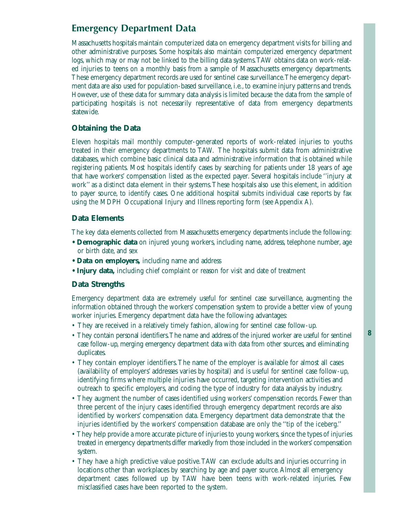# **Emergency Department Data**

Massachusetts hospitals maintain computerized data on emergency department visits for billing and other administrative purposes. Some hospitals also maintain computerized emergency department logs, which may or may not be linked to the billing data systems.TAW obtains data on work-related injuries to teens on a monthly basis from a sample of Massachusetts emergency departments. These emergency department records are used for sentinel case surveillance.The emergency department data are also used for population-based surveillance, i.e., to examine injury patterns and trends. However, use of these data for summary data analysis is limited because the data from the sample of participating hospitals is not necessarily representative of data from emergency departments statewide.

#### **Obtaining the Data**

Eleven hospitals mail monthly computer-generated reports of work-related injuries to youths treated in their emergency departments to TAW. The hospitals submit data from administrative databases, which combine basic clinical data and administrative information that is obtained while registering patients. Most hospitals identify cases by searching for patients under 18 years of age that have workers' compensation listed as the expected payer. Several hospitals include ''injury at work'' as a distinct data element in their systems.These hospitals also use this element, in addition to payer source, to identify cases. One additional hospital submits individual case reports by fax using the MDPH Occupational Injury and Illness reporting form (see Appendix A).

#### **Data Elements**

The key data elements collected from Massachusetts emergency departments include the following:

- **Demographic data** on injured young workers, including name, address, telephone number, age or birth date, and sex
- **Data on employers,** including name and address
- Injury data, including chief complaint or reason for visit and date of treatment

#### **Data Strengths**

Emergency department data are extremely useful for sentinel case surveillance, augmenting the information obtained through the workers' compensation system to provide a better view of young worker injuries. Emergency department data have the following advantages:

- They are received in a relatively timely fashion, allowing for sentinel case follow-up.
- They contain personal identifiers.The name and address of the injured worker are useful for sentinel case follow-up, merging emergency department data with data from other sources, and eliminating duplicates.
- They contain employer identifiers. The name of the employer is available for almost all cases (availability of employers' addresses varies by hospital) and is useful for sentinel case follow-up, identifying firms where multiple injuries have occurred, targeting intervention activities and outreach to specific employers, and coding the type of industry for data analysis by industry.
- They augment the number of cases identified using workers' compensation records. Fewer than three percent of the injury cases identified through emergency department records are also identified by workers' compensation data. Emergency department data demonstrate that the injuries identified by the workers' compensation database are only the ''tip of the iceberg.''
- They help provide a more accurate picture of injuries to young workers, since the types of injuries treated in emergency departments differ markedly from those included in the workers'compensation system.
- They have a high predictive value positive.TAW can exclude adults and injuries occurring in locations other than workplaces by searching by age and payer source.Almost all emergency department cases followed up by TAW have been teens with work-related injuries. Few misclassified cases have been reported to the system.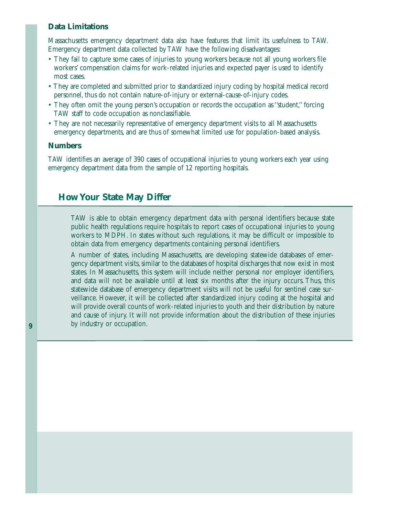#### **Data Limitations**

Massachusetts emergency department data also have features that limit its usefulness to TAW. Emergency department data collected by TAW have the following disadvantages:

- They fail to capture some cases of injuries to young workers because not all young workers file workers' compensation claims for work-related injuries and expected payer is used to identify most cases.
- They are completed and submitted prior to standardized injury coding by hospital medical record personnel, thus do not contain nature-of-injury or external-cause-of-injury codes.
- They often omit the young person's occupation or records the occupation as "student," forcing TAW staff to code occupation as nonclassifiable.
- They are not necessarily representative of emergency department visits to all Massachusetts emergency departments, and are thus of somewhat limited use for population-based analysis.

#### **Numbers**

TAW identifies an average of 390 cases of occupational injuries to young workers each year using emergency department data from the sample of 12 reporting hospitals.

#### **How Your State May Differ**

TAW is able to obtain emergency department data with personal identifiers because state public health regulations require hospitals to report cases of occupational injuries to young workers to MDPH. In states without such regulations, it may be difficult or impossible to obtain data from emergency departments containing personal identifiers.

A number of states, including Massachusetts, are developing statewide databases of emergency department visits, similar to the databases of hospital discharges that now exist in most states. In Massachusetts, this system will include neither personal nor employer identifiers, and data will not be available until at least six months after the injury occurs. Thus, this statewide database of emergency department visits will not be useful for sentinel case surveillance. However, it will be collected after standardized injury coding at the hospital and will provide overall counts of work-related injuries to youth and their distribution by nature and cause of injury. It will not provide information about the distribution of these injuries by industry or occupation.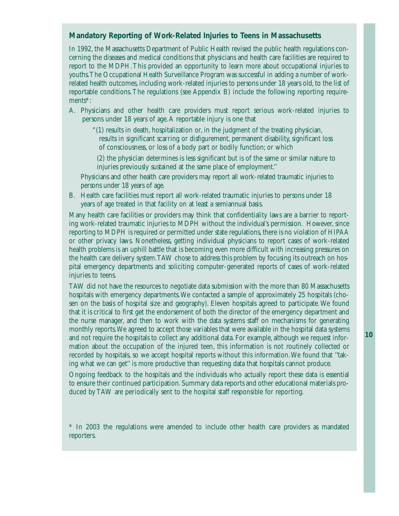#### **Mandatory Reporting of Work-Related Injuries to Teens in Massachusetts**

In 1992, the Massachusetts Department of Public Health revised the public health regulations concerning the diseases and medical conditions that physicians and health care facilities are required to report to the MDPH.This provided an opportunity to learn more about occupational injuries to youths.The Occupational Health Surveillance Program was successful in adding a number of workrelated health outcomes, including work-related injuries to persons under 18 years old, to the list of reportable conditions. The regulations (see Appendix B) include the following reporting requirements\*:

A. Physicians and other health care providers must report serious work-related injuries to persons under 18 years of age.A reportable injury is one that

"(1) results in death, hospitalization or, in the judgment of the treating physician, results in significant scarring or disfigurement, permanent disability, significant loss of consciousness, or loss of a body part or bodily function; or which

(2) the physician determines is less significant but is of the same or similar nature to injuries previously sustained at the same place of employment.''

Physicians and other health care providers may report all work-related traumatic injuries to persons under 18 years of age.

B. Health care facilities must report all work-related traumatic injuries to persons under 18 years of age treated in that facility on at least a semiannual basis.

Many health care facilities or providers may think that confidentiality laws are a barrier to reporting work-related traumatic injuries to MDPH without the individual's permission. However, since reporting to MDPH is required or permitted under state regulations, there is no violation of HIPAA or other privacy laws. Nonetheless, getting individual physicians to report cases of work-related health problems is an uphill battle that is becoming even more difficult with increasing pressures on the health care delivery system.TAW chose to address this problem by focusing its outreach on hospital emergency departments and soliciting computer-generated reports of cases of work-related injuries to teens.

TAW did not have the resources to negotiate data submission with the more than 80 Massachusetts hospitals with emergency departments.We contacted a sample of approximately 25 hospitals (chosen on the basis of hospital size and geography). Eleven hospitals agreed to participate.We found that it is critical to first get the endorsement of both the director of the emergency department and the nurse manager, and then to work with the data systems staff on mechanisms for generating monthly reports.We agreed to accept those variables that were available in the hospital data systems and not require the hospitals to collect any additional data. For example, although we request information about the occupation of the injured teen, this information is not routinely collected or recorded by hospitals, so we accept hospital reports without this information.We found that ''taking what we can get'' is more productive than requesting data that hospitals cannot produce.

Ongoing feedback to the hospitals and the individuals who actually report these data is essential to ensure their continued participation. Summary data reports and other educational materials produced by TAW are periodically sent to the hospital staff responsible for reporting.

\* In 2003 the regulations were amended to include other health care providers as mandated reporters.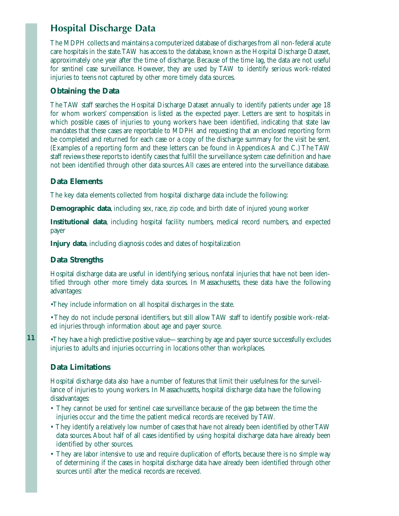# **Hospital Discharge Data**

The MDPH collects and maintains a computerized database of discharges from all non-federal acute care hospitals in the state.TAW has access to the database, known as the Hospital Discharge Dataset, approximately one year after the time of discharge. Because of the time lag, the data are not useful for sentinel case surveillance. However, they are used by TAW to identify serious work-related injuries to teens not captured by other more timely data sources.

#### **Obtaining the Data**

The TAW staff searches the Hospital Discharge Dataset annually to identify patients under age 18 for whom workers' compensation is listed as the expected payer. Letters are sent to hospitals in which possible cases of injuries to young workers have been identified, indicating that state law mandates that these cases are reportable to MDPH and requesting that an enclosed reporting form be completed and returned for each case or a copy of the discharge summary for the visit be sent. (Examples of a reporting form and these letters can be found in Appendices A and C.) The TAW staff reviews these reports to identify cases that fulfill the surveillance system case definition and have not been identified through other data sources.All cases are entered into the surveillance database.

#### **Data Elements**

The key data elements collected from hospital discharge data include the following:

**Demographic data**, including sex, race, zip code, and birth date of injured young worker

**Institutional data**, including hospital facility numbers, medical record numbers, and expected payer

**Injury data**, including diagnosis codes and dates of hospitalization

#### **Data Strengths**

Hospital discharge data are useful in identifying serious, nonfatal injuries that have not been identified through other more timely data sources. In Massachusetts, these data have the following advantages:

•They include information on all hospital discharges in the state.

• They do not include personal identifiers, but still allow TAW staff to identify possible work-related injuries through information about age and payer source.

•They have a high predictive positive value—searching by age and payer source successfully excludes injuries to adults and injuries occurring in locations other than workplaces.

#### **Data Limitations**

**11**

Hospital discharge data also have a number of features that limit their usefulness for the surveillance of injuries to young workers. In Massachusetts, hospital discharge data have the following disadvantages:

- They cannot be used for sentinel case surveillance because of the gap between the time the injuries occur and the time the patient medical records are received by TAW.
- They identify a relatively low number of cases that have not already been identified by other TAW data sources. About half of all cases identified by using hospital discharge data have already been identified by other sources.
- They are labor intensive to use and require duplication of efforts, because there is no simple way of determining if the cases in hospital discharge data have already been identified through other sources until after the medical records are received.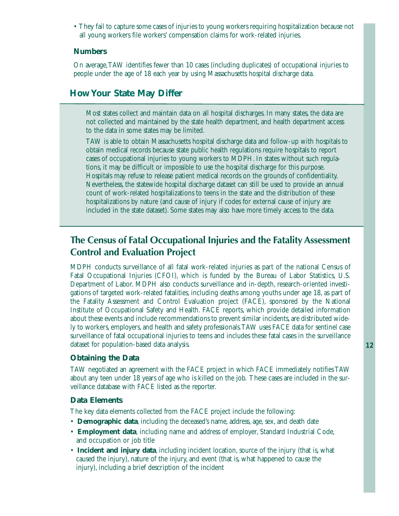• They fail to capture some cases of injuries to young workers requiring hospitalization because not all young workers file workers' compensation claims for work-related injuries.

#### **Numbers**

On average,TAW identifies fewer than 10 cases (including duplicates) of occupational injuries to people under the age of 18 each year by using Massachusetts hospital discharge data.

# **How Your State May Differ**

Most states collect and maintain data on all hospital discharges. In many states, the data are not collected and maintained by the state health department, and health department access to the data in some states may be limited.

TAW is able to obtain Massachusetts hospital discharge data and follow-up with hospitals to obtain medical records because state public health regulations require hospitals to report cases of occupational injuries to young workers to MDPH. In states without such regulations, it may be difficult or impossible to use the hospital discharge for this purpose. Hospitals may refuse to release patient medical records on the grounds of confidentiality. Nevertheless, the statewide hospital discharge dataset can still be used to provide an annual count of work-related hospitalizations to teens in the state and the distribution of these hospitalizations by nature (and cause of injury if codes for external cause of injury are included in the state dataset). Some states may also have more timely access to the data.

# **The Census of Fatal Occupational Injuries and the Fatality Assessment Control and Evaluation Project**

MDPH conducts surveillance of all fatal work-related injuries as part of the national Census of Fatal Occupational Injuries (CFOI), which is funded by the Bureau of Labor Statistics, U.S. Department of Labor. MDPH also conducts surveillance and in-depth, research-oriented investigations of targeted work-related fatalities, including deaths among youths under age 18, as part of the Fatality Assessment and Control Evaluation project (FACE), sponsored by the National Institute of Occupational Safety and Health. FACE reports, which provide detailed information about these events and include recommendations to prevent similar incidents, are distributed widely to workers, employers, and health and safety professionals.TAW uses FACE data for sentinel case surveillance of fatal occupational injuries to teens and includes these fatal cases in the surveillance dataset for population-based data analysis.

#### **Obtaining the Data**

TAW negotiated an agreement with the FACE project in which FACE immediately notifies TAW about any teen under 18 years of age who is killed on the job. These cases are included in the surveillance database with FACE listed as the reporter.

#### **Data Elements**

The key data elements collected from the FACE project include the following:

- **Demographic data**, including the deceased's name, address, age, sex, and death date
- **Employment data**, including name and address of employer, Standard Industrial Code, and occupation or job title
- **Incident and injury data**, including incident location, source of the injury (that is, what caused the injury), nature of the injury, and event (that is, what happened to cause the injury), including a brief description of the incident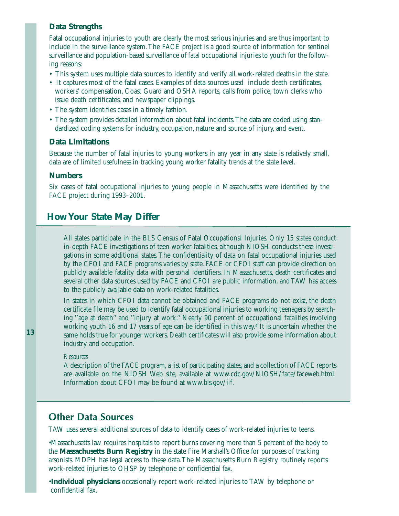#### **Data Strengths**

Fatal occupational injuries to youth are clearly the most serious injuries and are thus important to include in the surveillance system.The FACE project is a good source of information for sentinel surveillance and population-based surveillance of fatal occupational injuries to youth for the following reasons:

- This system uses multiple data sources to identify and verify all work-related deaths in the state.
- It captures most of the fatal cases. Examples of data sources used include death certificates, workers' compensation, Coast Guard and OSHA reports, calls from police, town clerks who issue death certificates, and newspaper clippings.
- The system identifies cases in a timely fashion.
- The system provides detailed information about fatal incidents.The data are coded using standardized coding systems for industry, occupation, nature and source of injury, and event.

#### **Data Limitations**

Because the number of fatal injuries to young workers in any year in any state is relatively small, data are of limited usefulness in tracking young worker fatality trends at the state level.

#### **Numbers**

Six cases of fatal occupational injuries to young people in Massachusetts were identified by the FACE project during 1993–2001.

#### **How Your State May Differ**

All states participate in the BLS Census of Fatal Occupational Injuries. Only 15 states conduct in-depth FACE investigations of teen worker fatalities, although NIOSH conducts these investigations in some additional states.The confidentiality of data on fatal occupational injuries used by the CFOI and FACE programs varies by state. FACE or CFOI staff can provide direction on publicly available fatality data with personal identifiers. In Massachusetts, death certificates and several other data sources used by FACE and CFOI are public information, and TAW has access to the publicly available data on work-related fatalities.

In states in which CFOI data cannot be obtained and FACE programs do not exist, the death certificate file may be used to identify fatal occupational injuries to working teenagers by searching ''age at death'' and ''injury at work.'' Nearly 90 percent of occupational fatalities involving working youth 16 and 17 years of age can be identified in this way.4 It is uncertain whether the same holds true for younger workers. Death certificates will also provide some information about industry and occupation.

#### *Resources*

A description of the FACE program, a list of participating states, and a collection of FACE reports are available on the NIOSH Web site, available at www.cdc.gov/NIOSH/face/faceweb.html. Information about CFOI may be found at www.bls.gov/iif.

## **Other Data Sources**

TAW uses several additional sources of data to identify cases of work-related injuries to teens.

•Massachusetts law requires hospitals to report burns covering more than 5 percent of the body to the **Massachusetts Burn Registry** in the state Fire Marshall's Office for purposes of tracking arsonists. MDPH has legal access to these data.The Massachusetts Burn Registry routinely reports work-related injuries to OHSP by telephone or confidential fax.

•**Individual physicians** occasionally report work-related injuries to TAW by telephone or confidential fax.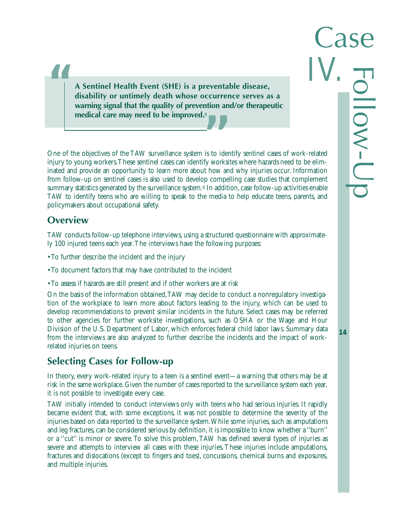**A Sentinel Health Event (SHE) is a preventable disease, disability or untimely death whose occurrence serves as a warning signal that the quality of prevention and/or therapeutic medical care may need to be improved.5**

One of the objectives of the TAW surveillance system is to identify sentinel cases of work-related injury to young workers.These sentinel cases can identify worksites where hazards need to be eliminated and provide an opportunity to learn more about how and why injuries occur. Information from follow-up on sentinel cases is also used to develop compelling case studies that complement summary statistics generated by the surveillance system.6 In addition, case follow-up activities enable TAW to identify teens who are willing to speak to the media to help educate teens, parents, and policymakers about occupational safety.

# **Overview**

**"**

TAW conducts follow-up telephone interviews, using a structured questionnaire with approximately 100 injured teens each year.The interviews have the following purposes:

- To further describe the incident and the injury
- To document factors that may have contributed to the incident
- To assess if hazards are still present and if other workers are at risk

On the basis of the information obtained,TAW may decide to conduct a nonregulatory investigation of the workplace to learn more about factors leading to the injury, which can be used to develop recommendations to prevent similar incidents in the future. Select cases may be referred to other agencies for further worksite investigations, such as OSHA or the Wage and Hour Division of the U.S. Department of Labor, which enforces federal child labor laws. Summary data from the interviews are also analyzed to further describe the incidents and the impact of workrelated injuries on teens.

# **Selecting Cases for Follow-up**

In theory, every work-related injury to a teen is a sentinel event—a warning that others may be at risk in the same workplace. Given the number of cases reported to the surveillance system each year, it is not possible to investigate every case.

TAW initially intended to conduct interviews only with teens who had serious injuries. It rapidly became evident that, with some exceptions, it was not possible to determine the severity of the injuries based on data reported to the surveillance system.While some injuries, such as amputations and leg fractures, can be considered serious by definition, it is impossible to know whether a ''burn'' or a ''cut'' is minor or severe. To solve this problem, TAW has defined several types of injuries as severe and attempts to interview all cases with these injuries.These injuries include amputations, fractures and dislocations (except to fingers and toes), concussions, chemical burns and exposures, and multiple injuries.

**14**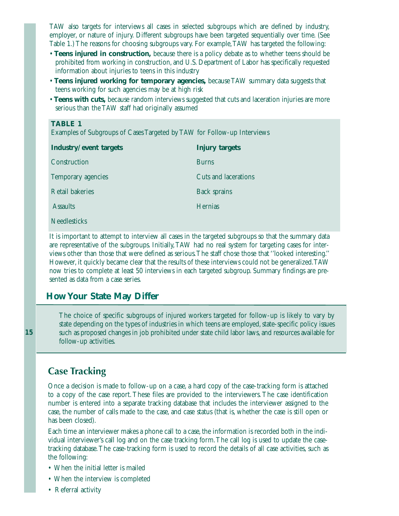TAW also targets for interviews all cases in selected subgroups which are defined by industry, employer, or nature of injury. Different subgroups have been targeted sequentially over time. (See Table 1.) The reasons for choosing subgroups vary. For example,TAW has targeted the following:

- **Teens injured in construction,** because there is a policy debate as to whether teens should be prohibited from working in construction, and U.S. Department of Labor has specifically requested information about injuries to teens in this industry
- **Teens injured working for temporary agencies,** because TAW summary data suggests that teens working for such agencies may be at high risk
- **Teens with cuts,** because random interviews suggested that cuts and laceration injuries are more serious than the TAW staff had originally assumed

#### **TABLE 1**

Examples of Subgroups of Cases Targeted by TAW for Follow-up Interviews

| Industry/event targets | <b>Injury targets</b> |
|------------------------|-----------------------|
| Construction           | <b>Burns</b>          |
| Temporary agencies     | Cuts and lacerations  |
| <b>Retail bakeries</b> | <b>Back sprains</b>   |
| <b>Assaults</b>        | <b>Hernias</b>        |
| <b>Needlesticks</b>    |                       |

It is important to attempt to interview all cases in the targeted subgroups so that the summary data are representative of the subgroups. Initially,TAW had no real system for targeting cases for interviews other than those that were defined as serious.The staff chose those that ''looked interesting.'' However, it quickly became clear that the results of these interviews could not be generalized.TAW now tries to complete at least 50 interviews in each targeted subgroup. Summary findings are presented as data from a case series.

#### **How Your State May Differ**

The choice of specific subgroups of injured workers targeted for follow-up is likely to vary by state depending on the types of industries in which teens are employed, state-specific policy issues such as proposed changes in job prohibited under state child labor laws, and resources available for follow-up activities.

## **Case Tracking**

**15**

Once a decision is made to follow-up on a case, a hard copy of the case-tracking form is attached to a copy of the case report. These files are provided to the interviewers. The case identification number is entered into a separate tracking database that includes the interviewer assigned to the case, the number of calls made to the case, and case status (that is, whether the case is still open or has been closed).

Each time an interviewer makes a phone call to a case, the information is recorded both in the individual interviewer's call log and on the case tracking form.The call log is used to update the casetracking database.The case-tracking form is used to record the details of all case activities, such as the following:

- When the initial letter is mailed
- When the interview is completed
- Referral activity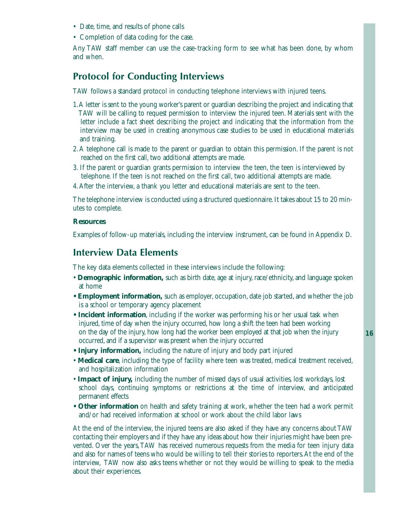- Date, time, and results of phone calls
- Completion of data coding for the case.

Any TAW staff member can use the case-tracking form to see what has been done, by whom and when.

# **Protocol for Conducting Interviews**

TAW follows a standard protocol in conducting telephone interviews with injured teens.

- 1.A letter is sent to the young worker's parent or guardian describing the project and indicating that TAW will be calling to request permission to interview the injured teen. Materials sent with the letter include a fact sheet describing the project and indicating that the information from the interview may be used in creating anonymous case studies to be used in educational materials and training.
- 2. A telephone call is made to the parent or guardian to obtain this permission. If the parent is not reached on the first call, two additional attempts are made.
- 3. If the parent or guardian grants permission to interview the teen, the teen is interviewed by telephone. If the teen is not reached on the first call, two additional attempts are made.
- 4.After the interview, a thank you letter and educational materials are sent to the teen.

The telephone interview is conducted using a structured questionnaire. It takes about 15 to 20 minutes to complete.

#### **Resources**

Examples of follow-up materials, including the interview instrument, can be found in Appendix D.

## **Interview Data Elements**

The key data elements collected in these interviews include the following:

- **Demographic information,** such as birth date, age at injury, race/ethnicity, and language spoken at home
- **Employment information,** such as employer, occupation, date job started, and whether the job is a school or temporary agency placement
- **Incident information**, including if the worker was performing his or her usual task when injured, time of day when the injury occurred, how long a shift the teen had been working on the day of the injury, how long had the worker been employed at that job when the injury occurred, and if a supervisor was present when the injury occurred
- **Injury information,** including the nature of injury and body part injured
- **Medical care**, including the type of facility where teen was treated, medical treatment received, and hospitalization information
- **Impact of injury,** including the number of missed days of usual activities, lost workdays, lost school days, continuing symptoms or restrictions at the time of interview, and anticipated permanent effects
- **Other information** on health and safety training at work, whether the teen had a work permit and/or had received information at school or work about the child labor laws

At the end of the interview, the injured teens are also asked if they have any concerns about TAW contacting their employers and if they have any ideas about how their injuries might have been prevented. Over the years,TAW has received numerous requests from the media for teen injury data and also for names of teens who would be willing to tell their stories to reporters.At the end of the interview, TAW now also asks teens whether or not they would be willing to speak to the media about their experiences.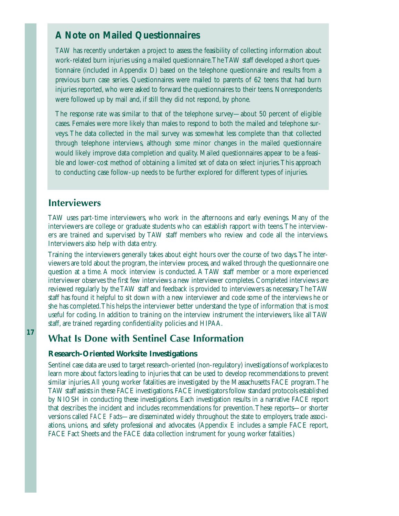# *A Note on Mailed Questionnaires*

TAW has recently undertaken a project to assess the feasibility of collecting information about work-related burn injuries using a mailed questionnaire.The TAW staff developed a short questionnaire (included in Appendix D) based on the telephone questionnaire and results from a previous burn case series. Questionnaires were mailed to parents of 62 teens that had burn injuries reported, who were asked to forward the questionnaires to their teens. Nonrespondents were followed up by mail and, if still they did not respond, by phone.

The response rate was similar to that of the telephone survey—about 50 percent of eligible cases. Females were more likely than males to respond to both the mailed and telephone surveys. The data collected in the mail survey was somewhat less complete than that collected through telephone interviews, although some minor changes in the mailed questionnaire would likely improve data completion and quality. Mailed questionnaires appear to be a feasible and lower-cost method of obtaining a limited set of data on select injuries.This approach to conducting case follow-up needs to be further explored for different types of injuries.

#### **Interviewers**

TAW uses part-time interviewers, who work in the afternoons and early evenings. Many of the interviewers are college or graduate students who can establish rapport with teens.The interviewers are trained and supervised by TAW staff members who review and code all the interviews. Interviewers also help with data entry.

Training the interviewers generally takes about eight hours over the course of two days.The interviewers are told about the program, the interview process, and walked through the questionnaire one question at a time. A mock interview is conducted. A TAW staff member or a more experienced interviewer observes the first few interviews a new interviewer completes. Completed interviews are reviewed regularly by the TAW staff and feedback is provided to interviewers as necessary.The TAW staff has found it helpful to sit down with a new interviewer and code some of the interviews he or she has completed.This helps the interviewer better understand the type of information that is most useful for coding. In addition to training on the interview instrument the interviewers, like all TAW staff, are trained regarding confidentiality policies and HIPAA.

# **What Is Done with Sentinel Case Information**

#### **Research-Oriented Worksite Investigations**

Sentinel case data are used to target research-oriented (non-regulatory) investigations of workplaces to learn more about factors leading to injuries that can be used to develop recommendations to prevent similar injuries.All young worker fatalities are investigated by the Massachusetts FACE program.The TAW staff assists in these FACE investigations.FACE investigators follow standard protocols established by NIOSH in conducting these investigations. Each investigation results in a narrative FACE report that describes the incident and includes recommendations for prevention.These reports—or shorter versions called *FACE Facts*—are disseminated widely throughout the state to employers, trade associations, unions, and safety professional and advocates. (Appendix E includes a sample FACE report, FACE Fact Sheets and the FACE data collection instrument for young worker fatalities.)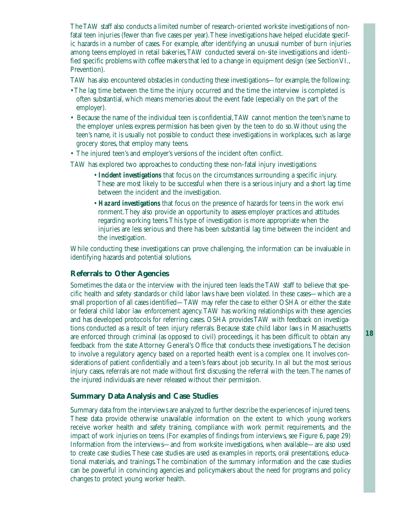The TAW staff also conducts a limited number of research-oriented worksite investigations of nonfatal teen injuries (fewer than five cases per year).These investigations have helped elucidate specific hazards in a number of cases. For example, after identifying an unusual number of burn injuries among teens employed in retail bakeries,TAW conducted several on-site investigations and identified specific problems with coffee makers that led to a change in equipment design (see Section VI., Prevention).

TAW has also encountered obstacles in conducting these investigations—for example, the following:

- The lag time between the time the injury occurred and the time the interview is completed is often substantial, which means memories about the event fade (especially on the part of the employer).
- Because the name of the individual teen is confidential,TAW cannot mention the teen's name to the employer unless express permission has been given by the teen to do so.Without using the teen's name, it is usually not possible to conduct these investigations in workplaces, such as large grocery stores, that employ many teens.
- The injured teen's and employer's versions of the incident often conflict.

TAW has explored two approaches to conducting these non-fatal injury investigations:

- *Incident investigations* that focus on the circumstances surrounding a specific injury. These are most likely to be successful when there is a serious injury and a short lag time between the incident and the investigation.
- *Hazard investigations* that focus on the presence of hazards for teens in the work envi ronment.They also provide an opportunity to assess employer practices and attitudes regarding working teens.This type of investigation is more appropriate when the injuries are less serious and there has been substantial lag time between the incident and the investigation.

While conducting these investigations can prove challenging, the information can be invaluable in identifying hazards and potential solutions.

#### **Referrals to Other Agencies**

Sometimes the data or the interview with the injured teen leads the TAW staff to believe that specific health and safety standards or child labor laws have been violated. In these cases—which are a small proportion of all cases identified—TAW may refer the case to either OSHA or either the state or federal child labor law enforcement agency.TAW has working relationships with these agencies and has developed protocols for referring cases. OSHA provides TAW with feedback on investigations conducted as a result of teen injury referrals. Because state child labor laws in Massachusetts are enforced through criminal (as opposed to civil) proceedings, it has been difficult to obtain any feedback from the state Attorney General's Office that conducts these investigations.The decision to involve a regulatory agency based on a reported health event is a complex one. It involves considerations of patient confidentially and a teen's fears about job security. In all but the most serious injury cases, referrals are not made without first discussing the referral with the teen.The names of the injured individuals are never released without their permission.

#### **Summary Data Analysis and Case Studies**

Summary data from the interviews are analyzed to further describe the experiences of injured teens. These data provide otherwise unavailable information on the extent to which young workers receive worker health and safety training, compliance with work permit requirements, and the impact of work injuries on teens. (For examples of findings from interviews, see Figure 6, page 29) Information from the interviews—and from worksite investigations, when available—are also used to create case studies.These case studies are used as examples in reports, oral presentations, educational materials, and trainings.The combination of the summary information and the case studies can be powerful in convincing agencies and policymakers about the need for programs and policy changes to protect young worker health.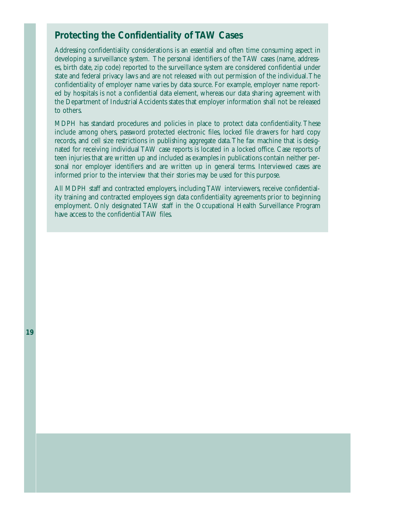# *Protecting the Confidentiality of TAW Cases*

Addressing confidentiality considerations is an essential and often time consuming aspect in developing a surveillance system. The personal identifiers of the TAW cases (name, addresses, birth date, zip code) reported to the surveillance system are considered confidential under state and federal privacy laws and are not released with out permission of the individual.The confidentiality of employer name varies by data source. For example, employer name reported by hospitals is not a confidential data element, whereas our data sharing agreement with the Department of Industrial Accidents states that employer information shall not be released to others.

MDPH has standard procedures and policies in place to protect data confidentiality. These include among ohers, password protected electronic files, locked file drawers for hard copy records, and cell size restrictions in publishing aggregate data.The fax machine that is designated for receiving individual TAW case reports is located in a locked office. Case reports of teen injuries that are written up and included as examples in publications contain neither personal nor employer identifiers and are written up in general terms. Interviewed cases are informed prior to the interview that their stories may be used for this purpose.

All MDPH staff and contracted employers, including TAW interviewers, receive confidentiality training and contracted employees sign data confidentiality agreements prior to beginning employment. Only designated TAW staff in the Occupational Health Surveillance Program have access to the confidential TAW files.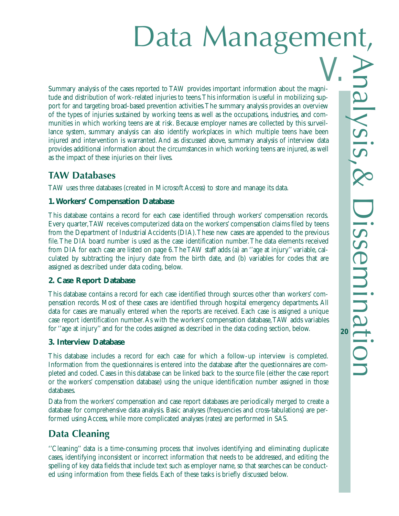# Data Management,

Summary analysis of the cases reported to TAW provides important information about the magnitude and distribution of work-related injuries to teens.This information is useful in mobilizing support for and targeting broad-based prevention activities.The summary analysis provides an overview of the types of injuries sustained by working teens as well as the occupations, industries, and communities in which working teens are at risk. Because employer names are collected by this surveillance system, summary analysis can also identify workplaces in which multiple teens have been injured and intervention is warranted. And as discussed above, summary analysis of interview data provides additional information about the circumstances in which working teens are injured, as well as the impact of these injuries on their lives. V.

# **TAW Databases**

TAW uses three databases (created in Microsoft Access) to store and manage its data.

#### **1.Workers' Compensation Database**

This database contains a record for each case identified through workers' compensation records. Every quarter,TAW receives computerized data on the workers' compensation claims filed by teens from the Department of Industrial Accidents (DIA).These new cases are appended to the previous file.The DIA board number is used as the case identification number.The data elements received from DIA for each case are listed on page 6.The TAW staff adds (a) an ''age at injury'' variable, calculated by subtracting the injury date from the birth date, and (b) variables for codes that are assigned as described under data coding, below.

#### **2. Case Report Database**

This database contains a record for each case identified through sources other than workers' compensation records. Most of these cases are identified through hospital emergency departments. All data for cases are manually entered when the reports are received. Each case is assigned a unique case report identification number.As with the workers' compensation database,TAW adds variables for ''age at injury'' and for the codes assigned as described in the data coding section, below.

#### **3. Interview Database**

This database includes a record for each case for which a follow-up interview is completed. Information from the questionnaires is entered into the database after the questionnaires are completed and coded. Cases in this database can be linked back to the source file (either the case report or the workers' compensation database) using the unique identification number assigned in those databases.

Data from the workers' compensation and case report databases are periodically merged to create a database for comprehensive data analysis. Basic analyses (frequencies and cross-tabulations) are performed using Access, while more complicated analyses (rates) are performed in SAS.

# **Data Cleaning**

''Cleaning'' data is a time-consuming process that involves identifying and eliminating duplicate cases, identifying inconsistent or incorrect information that needs to be addressed, and editing the spelling of key data fields that include text such as employer name, so that searches can be conducted using information from these fields. Each of these tasks is briefly discussed below.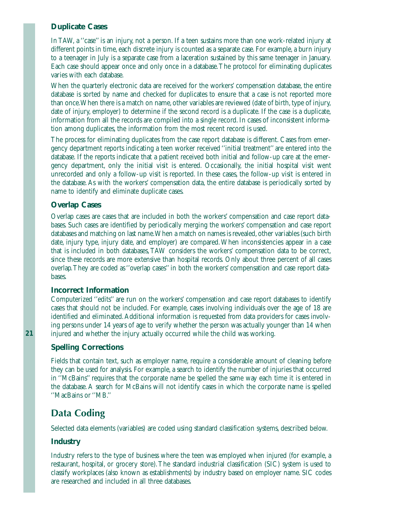#### **Duplicate Cases**

In TAW, a ''case'' is an injury, not a person. If a teen sustains more than one work-related injury at different points in time, each discrete injury is counted as a separate case. For example, a burn injury to a teenager in July is a separate case from a laceration sustained by this same teenager in January. Each case should appear once and only once in a database.The protocol for eliminating duplicates varies with each database.

When the quarterly electronic data are received for the workers' compensation database, the entire database is sorted by name and checked for duplicates to ensure that a case is not reported more than once.When there is a match on name, other variables are reviewed (date of birth, type of injury, date of injury, employer) to determine if the second record is a duplicate. If the case is a duplicate, information from all the records are compiled into a single record. In cases of inconsistent information among duplicates, the information from the most recent record is used.

The process for eliminating duplicates from the case report database is different. Cases from emergency department reports indicating a teen worker received ''initial treatment'' are entered into the database. If the reports indicate that a patient received both initial and follow-up care at the emergency department, only the initial visit is entered. Occasionally, the initial hospital visit went unrecorded and only a follow-up visit is reported. In these cases, the follow-up visit is entered in the database. As with the workers' compensation data, the entire database is periodically sorted by name to identify and eliminate duplicate cases.

#### **Overlap Cases**

Overlap cases are cases that are included in both the workers' compensation and case report databases. Such cases are identified by periodically merging the workers' compensation and case report databases and matching on last name.When a match on names is revealed, other variables (such birth date, injury type, injury date, and employer) are compared.When inconsistencies appear in a case that is included in both databases, TAW considers the workers' compensation data to be correct, since these records are more extensive than hospital records. Only about three percent of all cases overlap.They are coded as ''overlap cases'' in both the workers' compensation and case report databases.

#### **Incorrect Information**

Computerized ''edits'' are run on the workers' compensation and case report databases to identify cases that should not be included. For example, cases involving individuals over the age of 18 are identified and eliminated.Additional information is requested from data providers for cases involving persons under 14 years of age to verify whether the person was actually younger than 14 when injured and whether the injury actually occurred while the child was working.

#### **Spelling Corrections**

Fields that contain text, such as employer name, require a considerable amount of cleaning before they can be used for analysis. For example, a search to identify the number of injuries that occurred in ''McBains'' requires that the corporate name be spelled the same way each time it is entered in the database. A search for McBains will not identify cases in which the corporate name is spelled ''MacBains or ''MB.''

# **Data Coding**

Selected data elements (variables) are coded using standard classification systems, described below.

### **Industry**

Industry refers to the type of business where the teen was employed when injured (for example, a restaurant, hospital, or grocery store). The standard industrial classification (SIC) system is used to classify workplaces (also known as establishments) by industry based on employer name. SIC codes are researched and included in all three databases.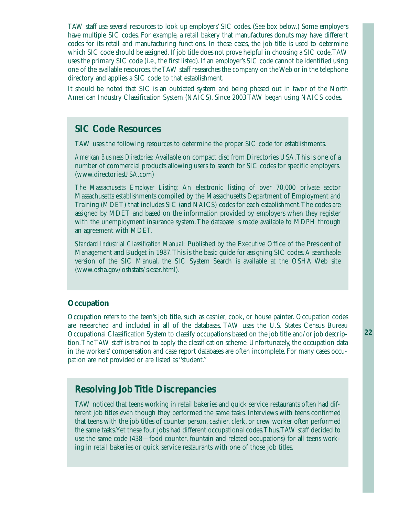TAW staff use several resources to look up employers' SIC codes. (See box below.) Some employers have multiple SIC codes. For example, a retail bakery that manufactures donuts may have different codes for its retail and manufacturing functions. In these cases, the job title is used to determine which SIC code should be assigned. If job title does not prove helpful in choosing a SIC code,TAW uses the primary SIC code (i.e., the first listed). If an employer's SIC code cannot be identified using one of the available resources, the TAW staff researches the company on the Web or in the telephone directory and applies a SIC code to that establishment.

It should be noted that SIC is an outdated system and being phased out in favor of the North American Industry Classification System (NAICS). Since 2003 TAW began using NAICS codes.

# *SIC Code Resources*

TAW uses the following resources to determine the proper SIC code for establishments.

*American Business Directories:* Available on compact disc from Directories USA.This is one of a number of commercial products allowing users to search for SIC codes for specific employers. (www.directoriesUSA.com)

*The Massachusetts Employer Listing:* An electronic listing of over 70,000 private sector Massachusetts establishments compiled by the Massachusetts Department of Employment and Training (MDET) that includes SIC (and NAICS) codes for each establishment.The codes are assigned by MDET and based on the information provided by employers when they register with the unemployment insurance system.The database is made available to MDPH through an agreement with MDET.

*Standard Industrial Classification Manual:* Published by the Executive Office of the President of Management and Budget in 1987.This is the basic guide for assigning SIC codes.A searchable version of the SIC Manual, the SIC System Search is available at the OSHA Web site (www.osha.gov/oshstats/sicser.html).

#### **Occupation**

Occupation refers to the teen's job title, such as cashier, cook, or house painter. Occupation codes are researched and included in all of the databases. TAW uses the U.S. States Census Bureau Occupational Classification System to classify occupations based on the job title and/or job description.The TAW staff is trained to apply the classification scheme. Unfortunately, the occupation data in the workers' compensation and case report databases are often incomplete. For many cases occupation are not provided or are listed as ''student.''

# *Resolving Job Title Discrepancies*

TAW noticed that teens working in retail bakeries and quick service restaurants often had different job titles even though they performed the same tasks. Interviews with teens confirmed that teens with the job titles of counter person, cashier, clerk, or crew worker often performed the same tasks.Yet these four jobs had different occupational codes.Thus,TAW staff decided to use the same code (438—food counter, fountain and related occupations) for all teens working in retail bakeries or quick service restaurants with one of those job titles.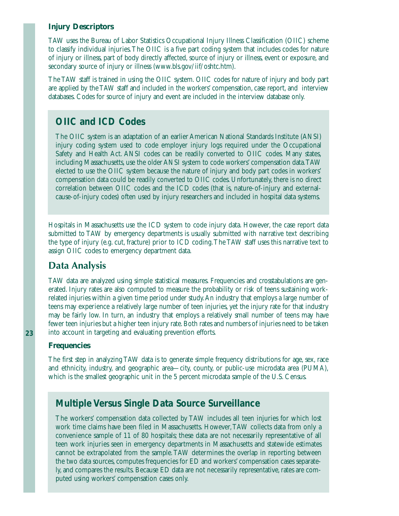#### **Injury Descriptors**

TAW uses the Bureau of Labor Statistics Occupational Injury Illness Classification (OIIC) scheme to classify individual injuries.The OIIC is a five part coding system that includes codes for nature of injury or illness, part of body directly affected, source of injury or illness, event or exposure, and secondary source of injury or illness (www.bls.gov/iif/oshtc.htm).

The TAW staff is trained in using the OIIC system. OIIC codes for nature of injury and body part are applied by the TAW staff and included in the workers' compensation, case report, and interview databases. Codes for source of injury and event are included in the interview database only.

# *OIIC and ICD Codes*

The OIIC system is an adaptation of an earlier American National Standards Institute (ANSI) injury coding system used to code employer injury logs required under the Occupational Safety and Health Act. ANSI codes can be readily converted to OIIC codes. Many states, including Massachusetts, use the older ANSI system to code workers' compensation data.TAW elected to use the OIIC system because the nature of injury and body part codes in workers' compensation data could be readily converted to OIIC codes. Unfortunately, there is no direct correlation between OIIC codes and the ICD codes (that is, nature-of-injury and externalcause-of-injury codes) often used by injury researchers and included in hospital data systems.

Hospitals in Massachusetts use the ICD system to code injury data. However, the case report data submitted to TAW by emergency departments is usually submitted with narrative text describing the type of injury (e.g. cut, fracture) prior to ICD coding.The TAW staff uses this narrative text to assign OIIC codes to emergency department data.

# **Data Analysis**

TAW data are analyzed using simple statistical measures. Frequencies and crosstabulations are generated. Injury rates are also computed to measure the probability or risk of teens sustaining workrelated injuries within a given time period under study.An industry that employs a large number of teens may experience a relatively large number of teen injuries, yet the injury rate for that industry may be fairly low. In turn, an industry that employs a relatively small number of teens may have fewer teen injuries but a higher teen injury rate. Both rates and numbers of injuries need to be taken into account in targeting and evaluating prevention efforts.

#### **Frequencies**

The first step in analyzing TAW data is to generate simple frequency distributions for age, sex, race and ethnicity, industry, and geographic area—city, county, or public-use microdata area (PUMA), which is the smallest geographic unit in the 5 percent microdata sample of the U.S. Census.

# *Multiple Versus Single Data Source Surveillance*

The workers' compensation data collected by TAW includes all teen injuries for which lost work time claims have been filed in Massachusetts. However,TAW collects data from only a convenience sample of 11 of 80 hospitals; these data are not necessarily representative of all teen work injuries seen in emergency departments in Massachusetts and statewide estimates cannot be extrapolated from the sample.TAW determines the overlap in reporting between the two data sources, computes frequencies for ED and workers' compensation cases separately, and compares the results. Because ED data are not necessarily representative, rates are computed using workers' compensation cases only.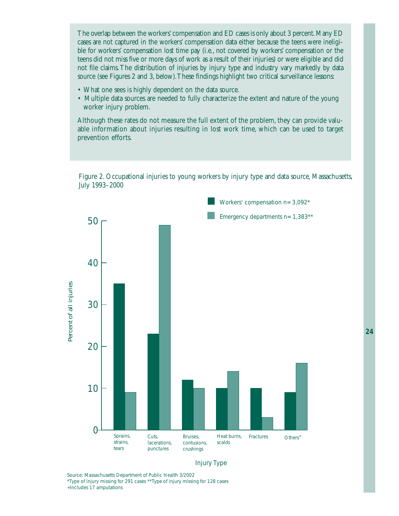The overlap between the workers'compensation and ED cases is only about 3 percent.Many ED cases are not captured in the workers' compensation data either because the teens were ineligible for workers' compensation lost time pay (i.e., not covered by workers' compensation or the teens did not miss five or more days of work as a result of their injuries) or were eligible and did not file claims.The distribution of injuries by injury type and industry vary markedly by data source (see Figures 2 and 3, below).These findings highlight two critical surveillance lessons:

- What one sees is highly dependent on the data source.
- Multiple data sources are needed to fully characterize the extent and nature of the young worker injury problem.

Although these rates do not measure the full extent of the problem, they can provide valuable information about injuries resulting in lost work time, which can be used to target prevention efforts.

Figure 2. Occupational injuries to young workers by injury type and data source, Massachusetts, July 1993–2000





Source: Massachusetts Department of Public Health 3/2002

\*Type of injury missing for 291 cases \*\*Type of injury missing for 128 cases +Includes 17 amputations

**24**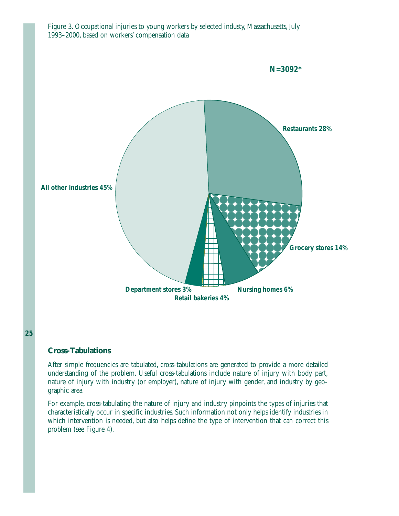

Figure 3. Occupational injuries to young workers by selected industy, Massachusetts, July 1993–2000, based on workers' compensation data

#### **Cross-Tabulations**

After simple frequencies are tabulated, cross-tabulations are generated to provide a more detailed understanding of the problem. Useful cross-tabulations include nature of injury with body part, nature of injury with industry (or employer), nature of injury with gender, and industry by geographic area.

For example, cross-tabulating the nature of injury and industry pinpoints the types of injuries that characteristically occur in specific industries. Such information not only helps identify industries in which intervention is needed, but also helps define the type of intervention that can correct this problem (see Figure 4).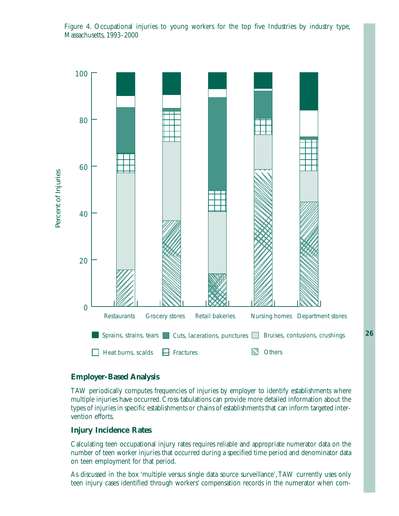

Figure 4. Occupational injuries to young workers for the top five Industries by industry type, Massachusetts, 1993–2000

#### **Employer-Based Analysis**

TAW periodically computes frequencies of injuries by employer to identify establishments where multiple injuries have occurred. Cross-tabulations can provide more detailed information about the types of injuries in specific establishments or chains of establishments that can inform targeted intervention efforts.

#### **Injury Incidence Rates**

Calculating teen occupational injury rates requires reliable and appropriate numerator data on the number of teen worker injuries that occurred during a specified time period and denominator data on teen employment for that period.

As discussed in the box 'multiple versus single data source surveillance',TAW currently uses only teen injury cases identified through workers' compensation records in the numerator when com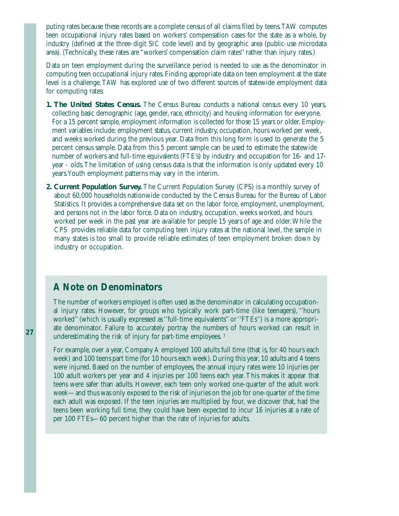puting rates because these records are a complete census of all claims filed by teens.TAW computes teen occupational injury rates based on workers' compensation cases for the state as a whole, by industry (defined at the three-digit SIC code level) and by geographic area (public-use microdata area). (Technically, these rates are "workers' compensation claim rates'' rather than injury rates.)

Data on teen employment during the surveillance period is needed to use as the denominator in computing teen occupational injury rates. Finding appropriate data on teen employment at the state level is a challenge.TAW has explored use of two different sources of statewide employment data for computing rates:

- **1. The United States Census.** The Census Bureau conducts a national census every 10 years, collecting basic demographic (age, gender, race, ethnicity) and housing information for everyone. For a 15 percent sample, employment information is collected for those 15 years or older. Employment variables include: employment status, current industry, occupation, hours worked per week, and weeks worked during the previous year. Data from this long form is used to generate the 5 percent census sample. Data from this 5 percent sample can be used to estimate the statewide number of workers and full-time equivalents (FTE's) by industry and occupation for 16- and 17 year - olds.The limitation of using census data is that the information is only updated every 10 years.Youth employment patterns may vary in the interim.
- **2. Current Population Survey.** The Current Population Survey (CPS) is a monthly survey of about 60,000 households nationwide conducted by the Census Bureau for the Bureau of Labor Statistics. It provides a comprehensive data set on the labor force, employment, unemployment, and persons not in the labor force. Data on industry, occupation, weeks worked, and hours worked per week in the past year are available for people 15 years of age and older.While the CPS provides reliable data for computing teen injury rates at the national level, the sample in many states is too small to provide reliable estimates of teen employment broken down by industry or occupation.

# *A Note on Denominators*

The number of workers employed is often used as the denominator in calculating occupational injury rates. However, for groups who typically work part-time (like teenagers), ''hours worked'' (which is usually expressed as ''full-time equivalents'' or ''FTEs'') is a more appropriate denominator. Failure to accurately portray the numbers of hours worked can result in underestimating the risk of injury for part-time employees.<sup>7</sup>

For example, over a year, Company A employed 100 adults full time (that is, for 40 hours each week) and 100 teens part time (for 10 hours each week). During this year, 10 adults and 4 teens were injured. Based on the number of employees, the annual injury rates were 10 injuries per 100 adult workers per year and 4 injuries per 100 teens each year.This makes it appear that teens were safer than adults. However, each teen only worked one-quarter of the adult work week—and thus was only exposed to the risk of injuries on the job for one-quarter of the time each adult was exposed. If the teen injuries are multiplied by four, we discover that, had the teens been working full time, they could have been expected to incur 16 injuries at a rate of per 100 FTEs—60 percent higher than the rate of injuries for adults.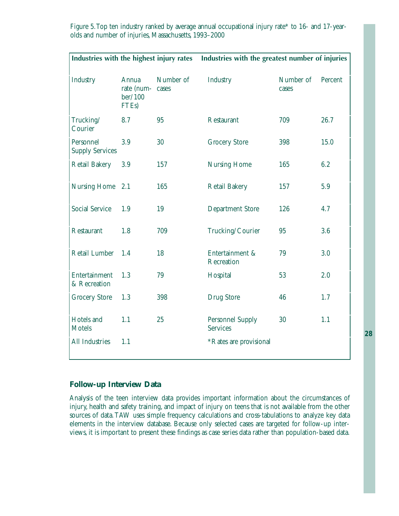| Industries with the highest injury rates |                                                      |                    | Industries with the greatest number of injuries |                    |         |
|------------------------------------------|------------------------------------------------------|--------------------|-------------------------------------------------|--------------------|---------|
| Industry                                 | Annua<br>rate (num-<br>ber/100<br>FTE <sub>s</sub> ) | Number of<br>cases | Industry                                        | Number of<br>cases | Percent |
| Trucking/<br>Courier                     | 8.7                                                  | 95                 | Restaurant                                      | 709                | 26.7    |
| Personnel<br><b>Supply Services</b>      | 3.9                                                  | 30                 | <b>Grocery Store</b>                            | 398                | 15.0    |
| <b>Retail Bakery</b>                     | 3.9                                                  | 157                | <b>Nursing Home</b>                             | 165                | 6.2     |
| Nursing Home                             | 2.1                                                  | 165                | <b>Retail Bakery</b>                            | 157                | 5.9     |
| <b>Social Service</b>                    | 1.9                                                  | 19                 | <b>Department Store</b>                         | 126                | 4.7     |
| Restaurant                               | 1.8                                                  | 709                | Trucking/Courier                                | 95                 | 3.6     |
| Retail Lumber                            | 1.4                                                  | 18                 | Entertainment &<br>Recreation                   | 79                 | 3.0     |
| Entertainment<br>& Recreation            | 1.3                                                  | 79                 | Hospital                                        | 53                 | 2.0     |
| <b>Grocery Store</b>                     | 1.3                                                  | 398                | <b>Drug Store</b>                               | 46                 | 1.7     |
| Hotels and<br><b>Motels</b>              | 1.1                                                  | 25                 | <b>Personnel Supply</b><br><b>Services</b>      | 30                 | 1.1     |
| All Industries                           | 1.1                                                  |                    | *Rates are provisional                          |                    |         |

Figure 5.Top ten industry ranked by average annual occupational injury rate\* to 16- and 17-yearolds and number of injuries, Massachusetts, 1993–2000

#### **Follow-up Interview Data**

Analysis of the teen interview data provides important information about the circumstances of injury, health and safety training, and impact of injury on teens that is not available from the other sources of data.TAW uses simple frequency calculations and cross-tabulations to analyze key data elements in the interview database. Because only selected cases are targeted for follow-up interviews, it is important to present these findings as case series data rather than population-based data.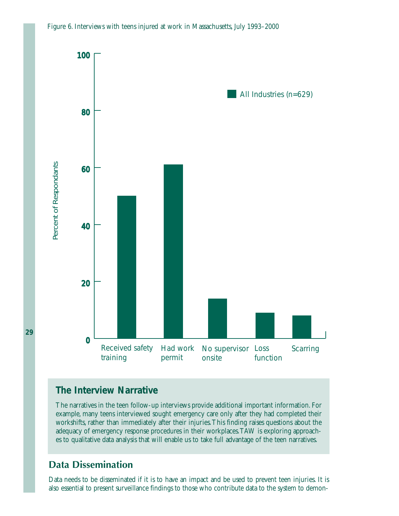



# *The Interview Narrative*

The narratives in the teen follow-up interviews provide additional important information. For example, many teens interviewed sought emergency care only after they had completed their workshifts, rather than immediately after their injuries.This finding raises questions about the adequacy of emergency response procedures in their workplaces.TAW is exploring approaches to qualitative data analysis that will enable us to take full advantage of the teen narratives.

# **Data Dissemination**

Data needs to be disseminated if it is to have an impact and be used to prevent teen injuries. It is also essential to present surveillance findings to those who contribute data to the system to demon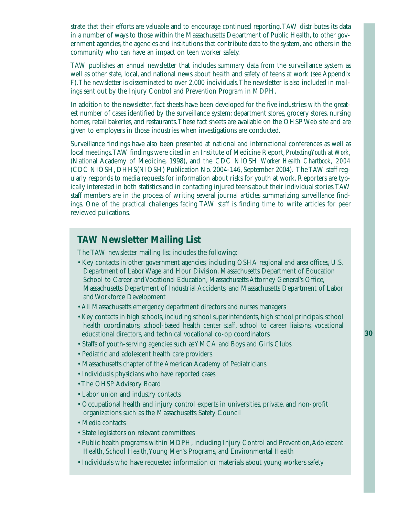strate that their efforts are valuable and to encourage continued reporting.TAW distributes its data in a number of ways to those within the Massachusetts Department of Public Health, to other government agencies, the agencies and institutions that contribute data to the system, and others in the community who can have an impact on teen worker safety.

TAW publishes an annual newsletter that includes summary data from the surveillance system as well as other state, local, and national news about health and safety of teens at work (see Appendix F).The newsletter is disseminated to over 2,000 individuals.The newsletter is also included in mailings sent out by the Injury Control and Prevention Program in MDPH.

In addition to the newsletter, fact sheets have been developed for the five industries with the greatest number of cases identified by the surveillance system: department stores, grocery stores, nursing homes, retail bakeries, and restaurants.These fact sheets are available on the OHSP Web site and are given to employers in those industries when investigations are conducted.

Surveillance findings have also been presented at national and international conferences as well as local meetings.TAW findings were cited in an Institute of Medicine Report, *Protecting Youth at Work*, (National Academy of Medicine, 1998), and the CDC NIOSH *Worker Health Chartbook, 2004* (CDC NIOSH, DHHS(NIOSH) Publication No. 2004-146, September 2004). The TAW staff regularly responds to media requests for information about risks for youth at work. Reporters are typically interested in both statistics and in contacting injured teens about their individual stories.TAW staff members are in the process of writing several journal articles summarizing surveillance findings. One of the practical challenges facing TAW staff is finding time to write articles for peer reviewed pulications.

# *TAW Newsletter Mailing List*

The TAW newsletter mailing list includes the following:

- Key contacts in other government agencies, including OSHA regional and area offices, U.S. Department of Labor Wage and Hour Division, Massachusetts Department of Education School to Career and Vocational Education, Massachusetts Attorney General's Office, Massachusetts Department of Industrial Accidents, and Massachusetts Department of Labor and Workforce Development
- All Massachusetts emergency department directors and nurses managers
- Key contacts in high schools, including school superintendents, high school principals, school health coordinators, school-based health center staff, school to career liaisons, vocational educational directors, and technical vocational co-op coordinators
- Staffs of youth-serving agencies such as YMCA and Boys and Girls Clubs
- Pediatric and adolescent health care providers
- Massachusetts chapter of the American Academy of Pediatricians
- Individuals physicians who have reported cases
- The OHSP Advisory Board
- Labor union and industry contacts
- Occupational health and injury control experts in universities, private, and non-profit organizations such as the Massachusetts Safety Council
- Media contacts
- State legislators on relevant committees
- Public health programs within MDPH, including Injury Control and Prevention, Adolescent Health, School Health,Young Men's Programs, and Environmental Health
- Individuals who have requested information or materials about young workers safety

**30**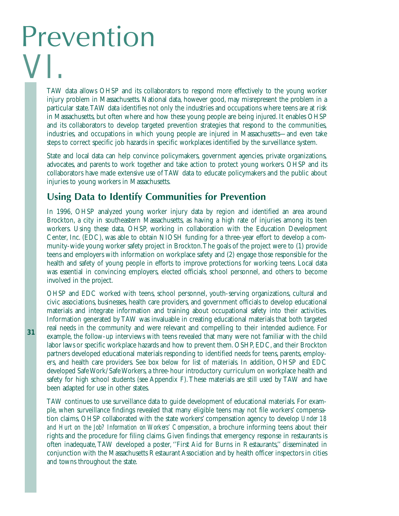# Prevention VI.

TAW data allows OHSP and its collaborators to respond more effectively to the young worker injury problem in Massachusetts. National data, however good, may misrepresent the problem in a particular state.TAW data identifies not only the industries and occupations where teens are at risk in Massachusetts, but often where and how these young people are being injured. It enables OHSP and its collaborators to develop targeted prevention strategies that respond to the communities, industries, and occupations in which young people are injured in Massachusetts—and even take steps to correct specific job hazards in specific workplaces identified by the surveillance system.

State and local data can help convince policymakers, government agencies, private organizations, advocates, and parents to work together and take action to protect young workers. OHSP and its collaborators have made extensive use of TAW data to educate policymakers and the public about injuries to young workers in Massachusetts.

# **Using Data to Identify Communities for Prevention**

In 1996, OHSP analyzed young worker injury data by region and identified an area around Brockton, a city in southeastern Massachusetts, as having a high rate of injuries among its teen workers. Using these data, OHSP, working in collaboration with the Education Development Center, Inc. (EDC), was able to obtain NIOSH funding for a three-year effort to develop a community-wide young worker safety project in Brockton.The goals of the project were to (1) provide teens and employers with information on workplace safety and (2) engage those responsible for the health and safety of young people in efforts to improve protections for working teens. Local data was essential in convincing employers, elected officials, school personnel, and others to become involved in the project.

OHSP and EDC worked with teens, school personnel, youth-serving organizations, cultural and civic associations, businesses, health care providers, and government officials to develop educational materials and integrate information and training about occupational safety into their activities. Information generated by TAW was invaluable in creating educational materials that both targeted real needs in the community and were relevant and compelling to their intended audience. For example, the follow-up interviews with teens revealed that many were not familiar with the child labor laws or specific workplace hazards and how to prevent them. OSHP, EDC, and their Brockton partners developed educational materials responding to identified needs for teens, parents, employers, and health care providers. See box below for list of materials. In addition, OHSP and EDC developed Safe Work/Safe Workers, a three-hour introductory curriculum on workplace health and safety for high school students (see Appendix F). These materials are still used by TAW and have been adapted for use in other states.

TAW continues to use surveillance data to guide development of educational materials. For example, when surveillance findings revealed that many eligible teens may not file workers' compensation claims, OHSP collaborated with the state workers' compensation agency to develop *Under 18 and Hurt on the Job? Information on Workers' Compensation*, a brochure informing teens about their rights and the procedure for filing claims. Given findings that emergency response in restaurants is often inadequate, TAW developed a poster, ''First Aid for Burns in Restaurants,'' disseminated in conjunction with the Massachusetts Restaurant Association and by health officer inspectors in cities and towns throughout the state.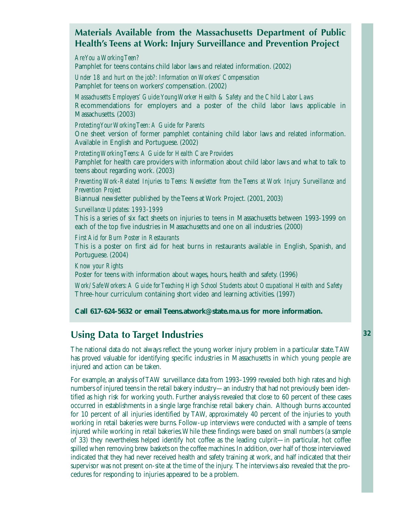# **Materials Available from the Massachusetts Department of Public Health's Teens at Work: Injury Surveillance and Prevention Project**

*Are You a Working Teen?* Pamphlet for teens contains child labor laws and related information. (2002)

*Under 18 and hurt on the job?: Information on Workers' Compensation* Pamphlet for teens on workers' compensation. (2002)

*Massachusetts Employers' Guide:Young Worker Health & Safety and the Child Labor Laws*  Recommendations for employers and a poster of the child labor laws applicable in Massachusetts. (2003)

*Protecting Your Working Teen:A Guide for Parents*

One sheet version of former pamphlet containing child labor laws and related information. Available in English and Portuguese. (2002)

*Protecting Working Teens:A Guide for Health Care Providers* Pamphlet for health care providers with information about child labor laws and what to talk to teens about regarding work. (2003)

*Preventing Work-Related Injuries to Teens: Newsletter from the Teens at Work Injury Surveillance and Prevention Project*

Biannual newsletter published by the Teens at Work Project. (2001, 2003)

*Surveillance Updates: 1993-1999*

This is a series of six fact sheets on injuries to teens in Massachusetts between 1993-1999 on each of the top five industries in Massachusetts and one on all industries. (2000)

*First Aid for Burn Poster in Restaurants*

This is a poster on first aid for heat burns in restaurants available in English, Spanish, and Portuguese. (2004)

*Know your Rights*

Poster for teens with information about wages, hours, health and safety. (1996)

*Work/Safe Workers:A Guide for Teaching High School Students about Occupational Health and Safety* Three-hour curriculum containing short video and learning activities. (1997)

**Call 617-624-5632 or email Teens.atwork@state.ma.us for more information.**

# **Using Data to Target Industries**

The national data do not always reflect the young worker injury problem in a particular state.TAW has proved valuable for identifying specific industries in Massachusetts in which young people are injured and action can be taken.

For example, an analysis of TAW surveillance data from 1993–1999 revealed both high rates and high numbers of injured teens in the retail bakery industry—an industry that had not previously been identified as high risk for working youth. Further analysis revealed that close to 60 percent of these cases occurred in establishments in a single large franchise retail bakery chain. Although burns accounted for 10 percent of all injuries identified by TAW, approximately 40 percent of the injuries to youth working in retail bakeries were burns. Follow-up interviews were conducted with a sample of teens injured while working in retail bakeries.While these findings were based on small numbers (a sample of 33) they nevertheless helped identify hot coffee as the leading culprit—in particular, hot coffee spilled when removing brew baskets on the coffee machines. In addition, over half of those interviewed indicated that they had never received health and safety training at work, and half indicated that their supervisor was not present on-site at the time of the injury. The interviews also revealed that the procedures for responding to injuries appeared to be a problem.

**32**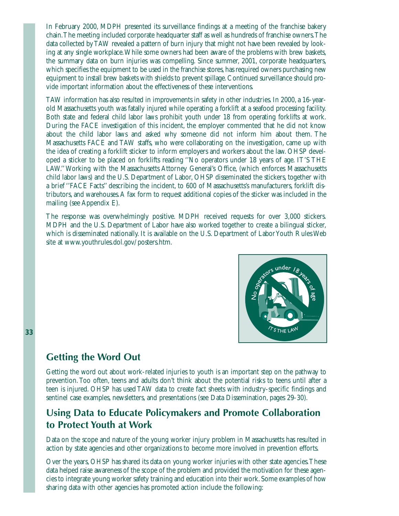In February 2000, MDPH presented its surveillance findings at a meeting of the franchise bakery chain.The meeting included corporate headquarter staff as well as hundreds of franchise owners.The data collected by TAW revealed a pattern of burn injury that might not have been revealed by looking at any single workplace.While some owners had been aware of the problems with brew baskets, the summary data on burn injuries was compelling. Since summer, 2001, corporate headquarters, which specifies the equipment to be used in the franchise stores, has required owners purchasing new equipment to install brew baskets with shields to prevent spillage. Continued surveillance should provide important information about the effectiveness of these interventions.

TAW information has also resulted in improvements in safety in other industries. In 2000, a 16-yearold Massachusetts youth was fatally injured while operating a forklift at a seafood processing facility. Both state and federal child labor laws prohibit youth under 18 from operating forklifts at work. During the FACE investigation of this incident, the employer commented that he did not know about the child labor laws and asked why someone did not inform him about them. The Massachusetts FACE and TAW staffs, who were collaborating on the investigation, came up with the idea of creating a forklift sticker to inform employers and workers about the law. OHSP developed a sticker to be placed on forklifts reading ''No operators under 18 years of age. IT'S THE LAW.'' Working with the Massachusetts Attorney General's Office, (which enforces Massachusetts child labor laws) and the U.S. Department of Labor, OHSP disseminated the stickers, together with a brief ''FACE Facts'' describing the incident, to 600 of Massachusetts's manufacturers, forklift distributors, and warehouses.A fax form to request additional copies of the sticker was included in the mailing (see Appendix E).

The response was overwhelmingly positive. MDPH received requests for over 3,000 stickers. MDPH and the U.S. Department of Labor have also worked together to create a bilingual sticker, which is disseminated nationally. It is available on the U.S. Department of Labor Youth Rules Web site at www.youthrules.dol.gov/posters.htm.



### **Getting the Word Out**

Getting the word out about work-related injuries to youth is an important step on the pathway to prevention. Too often, teens and adults don't think about the potential risks to teens until after a teen is injured. OHSP has used TAW data to create fact sheets with industry-specific findings and sentinel case examples, newsletters, and presentations (see Data Dissemination, pages 29-30).

# **Using Data to Educate Policymakers and Promote Collaboration to Protect Youth at Work**

Data on the scope and nature of the young worker injury problem in Massachusetts has resulted in action by state agencies and other organizations to become more involved in prevention efforts.

Over the years, OHSP has shared its data on young worker injuries with other state agencies.These data helped raise awareness of the scope of the problem and provided the motivation for these agencies to integrate young worker safety training and education into their work. Some examples of how sharing data with other agencies has promoted action include the following: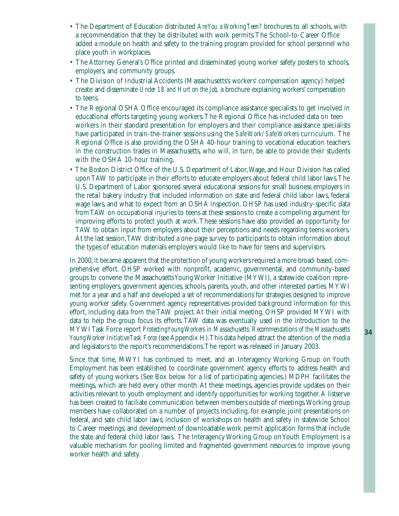- The Department of Education distributed *Are You a Working Teen?* brochures to all schools, with a recommendation that they be distributed with work permits.The School-to-Career Office added a module on health and safety to the training program provided for school personnel who place youth in workplaces.
- The Attorney General's Office printed and disseminated young worker safety posters to schools, employers, and community groups.
- The Division of Industrial Accidents (Massachusetts's workers' compensation agency) helped create and disseminate *Under 18 and Hurt on the Job,* a brochure explaining workers' compensation to teens.
- The Regional OSHA Office encouraged its compliance assistance specialists to get involved in educational efforts targeting young workers.The Regional Office has included data on teen workers in their standard presentation for employers and their compliance assistance specialists have participated in train-the-trainer sessions using the *Safe Work/Safe Workers* curriculum. The Regional Office is also providing the OSHA 40-hour training to vocational education teachers in the construction trades in Massachusetts, who will, in turn, be able to provide their students with the OSHA 10-hour training.
- The Boston District Office of the U.S. Department of Labor,Wage, and Hour Division has called upon TAW to participate in their efforts to educate employers about federal child labor laws.The U.S. Department of Labor sponsored several educational sessions for small business employers in the retail bakery industry that included information on state and federal child labor laws, federal wage laws, and what to expect from an OSHA inspection. OHSP has used industry-specific data from TAW on occupational injuries to teens at these sessions to create a compelling argument for improving efforts to protect youth at work.These sessions have also provided an opportunity for TAW to obtain input from employers about their perceptions and needs regarding teens workers. At the last session,TAW distributed a one-page survey to participants to obtain information about the types of education materials employers would like to have for teens and supervisors.

In 2000, it became apparent that the protection of young workers required a more broad-based, comprehensive effort. OHSP worked with nonprofit, academic, governmental, and community-based groups to convene the Massachusetts Young Worker Initiative (MYWI), a statewide coalition representing employers, government agencies, schools, parents, youth, and other interested parties. MYWI met for a year and a half and developed a set of recommendations for strategies designed to improve young worker safety. Government agency representatives provided background information for this effort, including data from the TAW project. At their initial meeting, OHSP provided MYWI with data to help the group focus its efforts. TAW data was eventually used in the introduction to the MYWI Task Force report *Protecting Young Workers in Massachusetts: Recommendations of the Massachusetts Young Worker Initiative Task Force* (see Appendix H).This data helped attract the attention of the media and legislators to the report's recommendations.The report was released in January 2003.

Since that time, MWYI has continued to meet, and an Interagency Working Group on Youth Employment has been established to coordinate government agency efforts to address health and safety of young workers. (See Box below for a list of participating agencies.) MDPH facilitates the meetings, which are held every other month. At these meetings, agencies provide updates on their activities relevant to youth employment and identify opportunities for working together.A listserve has been created to faciliate communication between members outside of meetings.Working group members have collaborated on a number of projects including, for example, joint presentations on federal, and sate child labor laws; inclusion of workshops on health and safety in statewide School to Career meetings; and development of downloadable work permit application forms that include the state and federal child labor laws. The Interagency Working Group on Youth Employment is a valuable mechanism for pooling limited and fragmented government resources to improve young worker health and safety.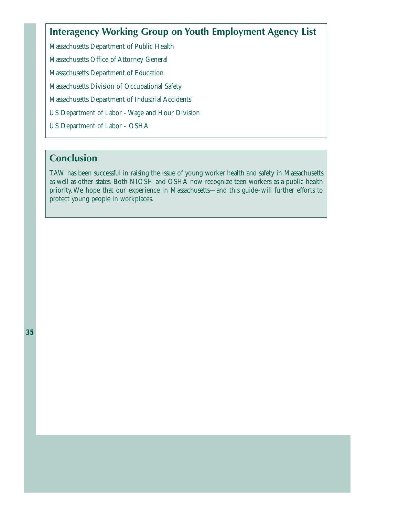# **Interagency Working Group on Youth Employment Agency List**

Massachusetts Department of Public Health Massachusetts Office of Attorney General Massachusetts Department of Education Massachusetts Division of Occupational Safety Massachusetts Department of Industrial Accidents US Department of Labor - Wage and Hour Division

US Department of Labor - OSHA

# **Conclusion**

TAW has been successful in raising the issue of young worker health and safety in Massachusetts as well as other states. Both NIOSH and OSHA now recognize teen workers as a public health priority. We hope that our experience in Massachusetts—and this guide–will further efforts to protect young people in workplaces.